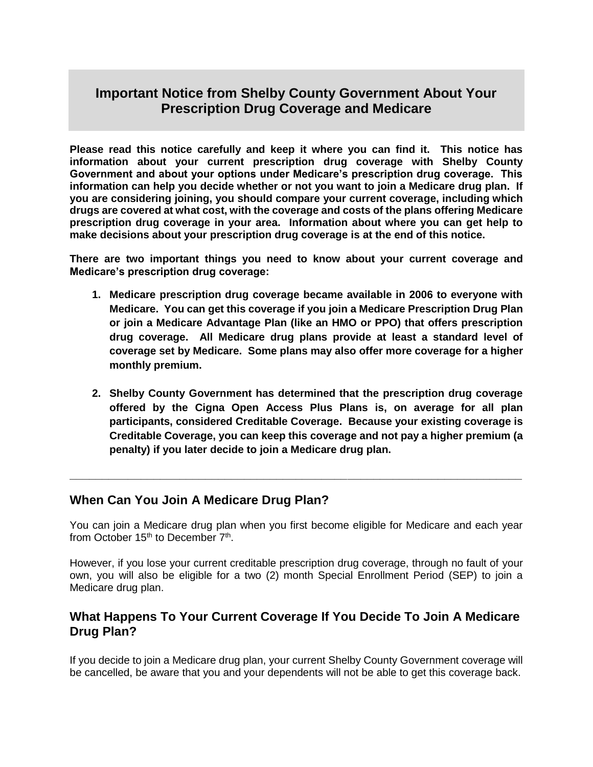# **Important Notice from Shelby County Government About Your Prescription Drug Coverage and Medicare**

**Please read this notice carefully and keep it where you can find it. This notice has information about your current prescription drug coverage with Shelby County Government and about your options under Medicare's prescription drug coverage. This information can help you decide whether or not you want to join a Medicare drug plan. If you are considering joining, you should compare your current coverage, including which drugs are covered at what cost, with the coverage and costs of the plans offering Medicare prescription drug coverage in your area. Information about where you can get help to make decisions about your prescription drug coverage is at the end of this notice.**

**There are two important things you need to know about your current coverage and Medicare's prescription drug coverage:**

- **1. Medicare prescription drug coverage became available in 2006 to everyone with Medicare. You can get this coverage if you join a Medicare Prescription Drug Plan or join a Medicare Advantage Plan (like an HMO or PPO) that offers prescription drug coverage. All Medicare drug plans provide at least a standard level of coverage set by Medicare. Some plans may also offer more coverage for a higher monthly premium.**
- **2. Shelby County Government has determined that the prescription drug coverage offered by the Cigna Open Access Plus Plans is, on average for all plan participants, considered Creditable Coverage. Because your existing coverage is Creditable Coverage, you can keep this coverage and not pay a higher premium (a penalty) if you later decide to join a Medicare drug plan.**

#### **When Can You Join A Medicare Drug Plan?**

You can join a Medicare drug plan when you first become eligible for Medicare and each year from October 15<sup>th</sup> to December 7<sup>th</sup>.

**\_\_\_\_\_\_\_\_\_\_\_\_\_\_\_\_\_\_\_\_\_\_\_\_\_\_\_\_\_\_\_\_\_\_\_\_\_\_\_\_\_\_\_\_\_\_\_\_\_\_\_\_\_\_\_\_\_\_\_\_\_\_\_\_\_\_\_\_\_\_**

However, if you lose your current creditable prescription drug coverage, through no fault of your own, you will also be eligible for a two (2) month Special Enrollment Period (SEP) to join a Medicare drug plan.

#### **What Happens To Your Current Coverage If You Decide To Join A Medicare Drug Plan?**

If you decide to join a Medicare drug plan, your current Shelby County Government coverage will be cancelled, be aware that you and your dependents will not be able to get this coverage back.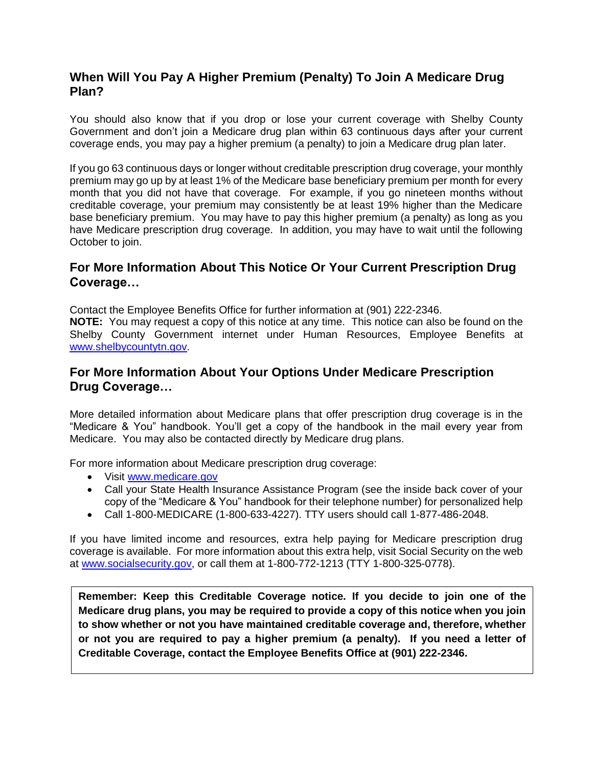## **When Will You Pay A Higher Premium (Penalty) To Join A Medicare Drug Plan?**

You should also know that if you drop or lose your current coverage with Shelby County Government and don't join a Medicare drug plan within 63 continuous days after your current coverage ends, you may pay a higher premium (a penalty) to join a Medicare drug plan later.

If you go 63 continuous days or longer without creditable prescription drug coverage, your monthly premium may go up by at least 1% of the Medicare base beneficiary premium per month for every month that you did not have that coverage. For example, if you go nineteen months without creditable coverage, your premium may consistently be at least 19% higher than the Medicare base beneficiary premium. You may have to pay this higher premium (a penalty) as long as you have Medicare prescription drug coverage. In addition, you may have to wait until the following October to join.

### **For More Information About This Notice Or Your Current Prescription Drug Coverage…**

Contact the Employee Benefits Office for further information at (901) 222-2346. **NOTE:** You may request a copy of this notice at any time. This notice can also be found on the Shelby County Government internet under Human Resources, Employee Benefits at [www.shelbycountytn.gov.](http://www.shelbycountytn.gov/)

## **For More Information About Your Options Under Medicare Prescription Drug Coverage…**

More detailed information about Medicare plans that offer prescription drug coverage is in the "Medicare & You" handbook. You'll get a copy of the handbook in the mail every year from Medicare. You may also be contacted directly by Medicare drug plans.

For more information about Medicare prescription drug coverage:

- Visit [www.medicare.gov](http://www.medicare.gov/)
- Call your State Health Insurance Assistance Program (see the inside back cover of your copy of the "Medicare & You" handbook for their telephone number) for personalized help
- Call 1-800-MEDICARE (1-800-633-4227). TTY users should call 1-877-486-2048.

If you have limited income and resources, extra help paying for Medicare prescription drug coverage is available. For more information about this extra help, visit Social Security on the web at [www.socialsecurity.gov,](http://www.socialsecurity.gov/) or call them at 1-800-772-1213 (TTY 1-800-325-0778).

**Remember: Keep this Creditable Coverage notice. If you decide to join one of the Medicare drug plans, you may be required to provide a copy of this notice when you join to show whether or not you have maintained creditable coverage and, therefore, whether or not you are required to pay a higher premium (a penalty). If you need a letter of Creditable Coverage, contact the Employee Benefits Office at (901) 222-2346.**